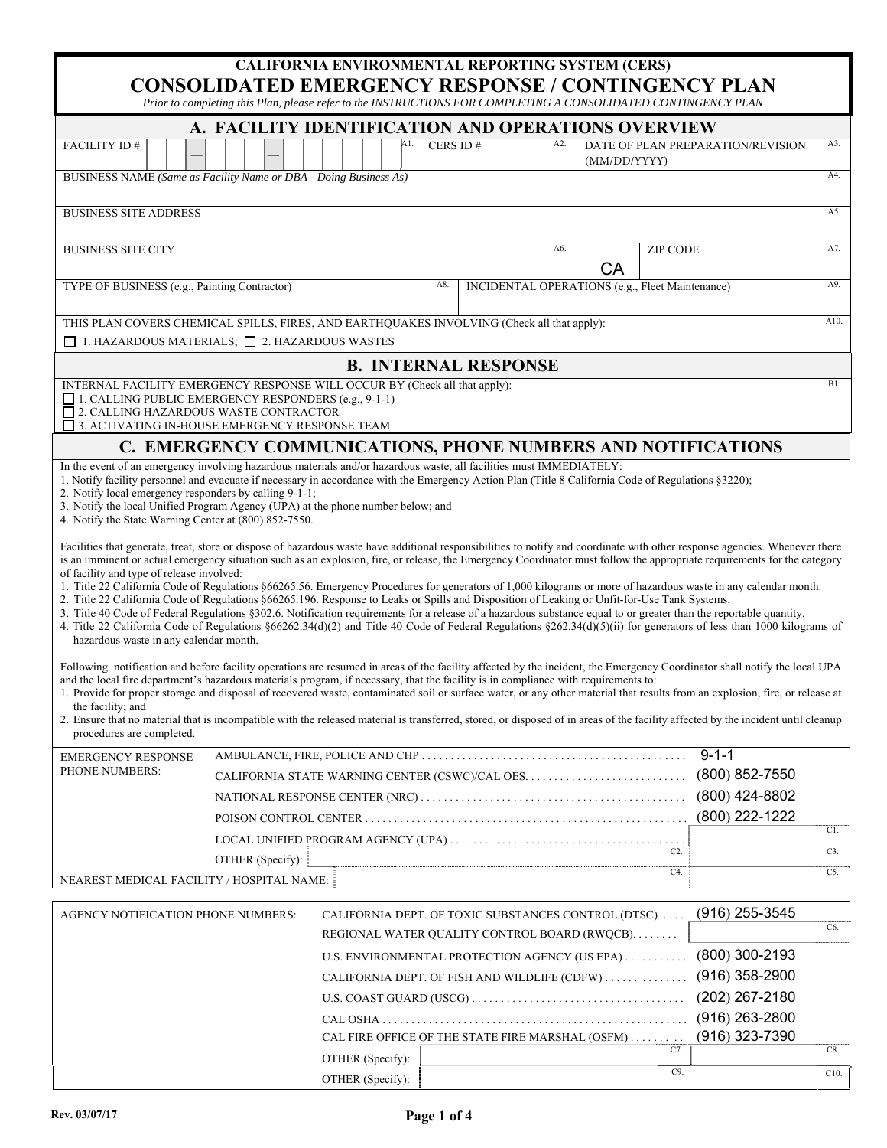| CALIFORNIA ENVIRONMENTAL REPORTING SYSTEM (CERS)<br><b>CONSOLIDATED EMERGENCY RESPONSE / CONTINGENCY PLAN</b><br>Prior to completing this Plan, please refer to the INSTRUCTIONS FOR COMPLETING A CONSOLIDATED CONTINGENCY PLAN                                                                                                                                                                                                                                                                                                                                                                                                                                                                                                                                                                                                                                                                                                                                                                                                                                                                                                                                                                                                                                                                                                                                                                                                                                                                                                                                                                                                                                                                                                                                                |                                                                   |                                                                                                                                          |  |  |  |     |  |                                                                                                      |     |    |                 |                  |     |
|--------------------------------------------------------------------------------------------------------------------------------------------------------------------------------------------------------------------------------------------------------------------------------------------------------------------------------------------------------------------------------------------------------------------------------------------------------------------------------------------------------------------------------------------------------------------------------------------------------------------------------------------------------------------------------------------------------------------------------------------------------------------------------------------------------------------------------------------------------------------------------------------------------------------------------------------------------------------------------------------------------------------------------------------------------------------------------------------------------------------------------------------------------------------------------------------------------------------------------------------------------------------------------------------------------------------------------------------------------------------------------------------------------------------------------------------------------------------------------------------------------------------------------------------------------------------------------------------------------------------------------------------------------------------------------------------------------------------------------------------------------------------------------|-------------------------------------------------------------------|------------------------------------------------------------------------------------------------------------------------------------------|--|--|--|-----|--|------------------------------------------------------------------------------------------------------|-----|----|-----------------|------------------|-----|
|                                                                                                                                                                                                                                                                                                                                                                                                                                                                                                                                                                                                                                                                                                                                                                                                                                                                                                                                                                                                                                                                                                                                                                                                                                                                                                                                                                                                                                                                                                                                                                                                                                                                                                                                                                                |                                                                   |                                                                                                                                          |  |  |  |     |  |                                                                                                      |     |    |                 |                  |     |
| FACILITY ID#                                                                                                                                                                                                                                                                                                                                                                                                                                                                                                                                                                                                                                                                                                                                                                                                                                                                                                                                                                                                                                                                                                                                                                                                                                                                                                                                                                                                                                                                                                                                                                                                                                                                                                                                                                   |                                                                   | A. FACILITY IDENTIFICATION AND OPERATIONS OVERVIEW<br>CERS ID#<br>A3.<br>A2.<br>DATE OF PLAN PREPARATION/REVISION<br>Α1.<br>(MM/DD/YYYY) |  |  |  |     |  |                                                                                                      |     |    |                 |                  |     |
| A4.<br>BUSINESS NAME (Same as Facility Name or DBA - Doing Business As)                                                                                                                                                                                                                                                                                                                                                                                                                                                                                                                                                                                                                                                                                                                                                                                                                                                                                                                                                                                                                                                                                                                                                                                                                                                                                                                                                                                                                                                                                                                                                                                                                                                                                                        |                                                                   |                                                                                                                                          |  |  |  |     |  |                                                                                                      |     |    |                 |                  |     |
| <b>BUSINESS SITE ADDRESS</b>                                                                                                                                                                                                                                                                                                                                                                                                                                                                                                                                                                                                                                                                                                                                                                                                                                                                                                                                                                                                                                                                                                                                                                                                                                                                                                                                                                                                                                                                                                                                                                                                                                                                                                                                                   |                                                                   |                                                                                                                                          |  |  |  |     |  |                                                                                                      |     |    |                 |                  | A5. |
| <b>BUSINESS SITE CITY</b>                                                                                                                                                                                                                                                                                                                                                                                                                                                                                                                                                                                                                                                                                                                                                                                                                                                                                                                                                                                                                                                                                                                                                                                                                                                                                                                                                                                                                                                                                                                                                                                                                                                                                                                                                      |                                                                   |                                                                                                                                          |  |  |  |     |  |                                                                                                      | A6. | CA | <b>ZIP CODE</b> |                  | A7. |
| TYPE OF BUSINESS (e.g., Painting Contractor)                                                                                                                                                                                                                                                                                                                                                                                                                                                                                                                                                                                                                                                                                                                                                                                                                                                                                                                                                                                                                                                                                                                                                                                                                                                                                                                                                                                                                                                                                                                                                                                                                                                                                                                                   |                                                                   |                                                                                                                                          |  |  |  | A8. |  | INCIDENTAL OPERATIONS (e.g., Fleet Maintenance)                                                      |     |    |                 |                  | A9. |
| THIS PLAN COVERS CHEMICAL SPILLS, FIRES, AND EARTHQUAKES INVOLVING (Check all that apply):<br>A10.                                                                                                                                                                                                                                                                                                                                                                                                                                                                                                                                                                                                                                                                                                                                                                                                                                                                                                                                                                                                                                                                                                                                                                                                                                                                                                                                                                                                                                                                                                                                                                                                                                                                             |                                                                   |                                                                                                                                          |  |  |  |     |  |                                                                                                      |     |    |                 |                  |     |
|                                                                                                                                                                                                                                                                                                                                                                                                                                                                                                                                                                                                                                                                                                                                                                                                                                                                                                                                                                                                                                                                                                                                                                                                                                                                                                                                                                                                                                                                                                                                                                                                                                                                                                                                                                                | $\Box$ 1. HAZARDOUS MATERIALS; $\Box$ 2. HAZARDOUS WASTES         |                                                                                                                                          |  |  |  |     |  |                                                                                                      |     |    |                 |                  |     |
|                                                                                                                                                                                                                                                                                                                                                                                                                                                                                                                                                                                                                                                                                                                                                                                                                                                                                                                                                                                                                                                                                                                                                                                                                                                                                                                                                                                                                                                                                                                                                                                                                                                                                                                                                                                |                                                                   |                                                                                                                                          |  |  |  |     |  | <b>B. INTERNAL RESPONSE</b>                                                                          |     |    |                 |                  |     |
| <b>B1.</b><br>INTERNAL FACILITY EMERGENCY RESPONSE WILL OCCUR BY (Check all that apply):<br>$\Box$ 1. CALLING PUBLIC EMERGENCY RESPONDERS (e.g., 9-1-1)<br>□ 2. CALLING HAZARDOUS WASTE CONTRACTOR<br>□ 3. ACTIVATING IN-HOUSE EMERGENCY RESPONSE TEAM                                                                                                                                                                                                                                                                                                                                                                                                                                                                                                                                                                                                                                                                                                                                                                                                                                                                                                                                                                                                                                                                                                                                                                                                                                                                                                                                                                                                                                                                                                                         |                                                                   |                                                                                                                                          |  |  |  |     |  |                                                                                                      |     |    |                 |                  |     |
| C. EMERGENCY COMMUNICATIONS, PHONE NUMBERS AND NOTIFICATIONS                                                                                                                                                                                                                                                                                                                                                                                                                                                                                                                                                                                                                                                                                                                                                                                                                                                                                                                                                                                                                                                                                                                                                                                                                                                                                                                                                                                                                                                                                                                                                                                                                                                                                                                   |                                                                   |                                                                                                                                          |  |  |  |     |  |                                                                                                      |     |    |                 |                  |     |
| In the event of an emergency involving hazardous materials and/or hazardous waste, all facilities must IMMEDIATELY:<br>1. Notify facility personnel and evacuate if necessary in accordance with the Emergency Action Plan (Title 8 California Code of Regulations §3220);<br>2. Notify local emergency responders by calling 9-1-1;<br>3. Notify the local Unified Program Agency (UPA) at the phone number below; and<br>4. Notify the State Warning Center at (800) 852-7550.<br>Facilities that generate, treat, store or dispose of hazardous waste have additional responsibilities to notify and coordinate with other response agencies. Whenever there<br>is an imminent or actual emergency situation such as an explosion, fire, or release, the Emergency Coordinator must follow the appropriate requirements for the category<br>of facility and type of release involved:<br>1. Title 22 California Code of Regulations §66265.56. Emergency Procedures for generators of 1,000 kilograms or more of hazardous waste in any calendar month.<br>2. Title 22 California Code of Regulations §66265.196. Response to Leaks or Spills and Disposition of Leaking or Unfit-for-Use Tank Systems.<br>3. Title 40 Code of Federal Regulations §302.6. Notification requirements for a release of a hazardous substance equal to or greater than the reportable quantity.<br>4. Title 22 California Code of Regulations §66262.34(d)(2) and Title 40 Code of Federal Regulations §262.34(d)(5)(ii) for generators of less than 1000 kilograms of<br>hazardous waste in any calendar month.<br>Following notification and before facility operations are resumed in areas of the facility affected by the incident, the Emergency Coordinator shall notify the local UPA |                                                                   |                                                                                                                                          |  |  |  |     |  |                                                                                                      |     |    |                 |                  |     |
| and the local fire department's hazardous materials program, if necessary, that the facility is in compliance with requirements to:<br>1. Provide for proper storage and disposal of recovered waste, contaminated soil or surface water, or any other material that results from an explosion, fire, or release at<br>the facility; and<br>2. Ensure that no material that is incompatible with the released material is transferred, stored, or disposed of in areas of the facility affected by the incident until cleanup<br>procedures are completed.                                                                                                                                                                                                                                                                                                                                                                                                                                                                                                                                                                                                                                                                                                                                                                                                                                                                                                                                                                                                                                                                                                                                                                                                                     |                                                                   |                                                                                                                                          |  |  |  |     |  |                                                                                                      |     |    |                 |                  |     |
| <b>EMERGENCY RESPONSE</b>                                                                                                                                                                                                                                                                                                                                                                                                                                                                                                                                                                                                                                                                                                                                                                                                                                                                                                                                                                                                                                                                                                                                                                                                                                                                                                                                                                                                                                                                                                                                                                                                                                                                                                                                                      |                                                                   |                                                                                                                                          |  |  |  |     |  |                                                                                                      |     |    |                 | $9 - 1 - 1$      |     |
| PHONE NUMBERS:                                                                                                                                                                                                                                                                                                                                                                                                                                                                                                                                                                                                                                                                                                                                                                                                                                                                                                                                                                                                                                                                                                                                                                                                                                                                                                                                                                                                                                                                                                                                                                                                                                                                                                                                                                 |                                                                   |                                                                                                                                          |  |  |  |     |  |                                                                                                      |     |    |                 | $(800)$ 852-7550 |     |
| (800) 424-8802                                                                                                                                                                                                                                                                                                                                                                                                                                                                                                                                                                                                                                                                                                                                                                                                                                                                                                                                                                                                                                                                                                                                                                                                                                                                                                                                                                                                                                                                                                                                                                                                                                                                                                                                                                 |                                                                   |                                                                                                                                          |  |  |  |     |  |                                                                                                      |     |    |                 |                  |     |
|                                                                                                                                                                                                                                                                                                                                                                                                                                                                                                                                                                                                                                                                                                                                                                                                                                                                                                                                                                                                                                                                                                                                                                                                                                                                                                                                                                                                                                                                                                                                                                                                                                                                                                                                                                                |                                                                   |                                                                                                                                          |  |  |  |     |  |                                                                                                      |     |    |                 | (800) 222-1222   | C1. |
|                                                                                                                                                                                                                                                                                                                                                                                                                                                                                                                                                                                                                                                                                                                                                                                                                                                                                                                                                                                                                                                                                                                                                                                                                                                                                                                                                                                                                                                                                                                                                                                                                                                                                                                                                                                |                                                                   |                                                                                                                                          |  |  |  |     |  |                                                                                                      |     |    |                 |                  |     |
|                                                                                                                                                                                                                                                                                                                                                                                                                                                                                                                                                                                                                                                                                                                                                                                                                                                                                                                                                                                                                                                                                                                                                                                                                                                                                                                                                                                                                                                                                                                                                                                                                                                                                                                                                                                | OTHER (Specify):                                                  |                                                                                                                                          |  |  |  |     |  |                                                                                                      |     |    | C4.             |                  | C3. |
| NEAREST MEDICAL FACILITY / HOSPITAL NAME:                                                                                                                                                                                                                                                                                                                                                                                                                                                                                                                                                                                                                                                                                                                                                                                                                                                                                                                                                                                                                                                                                                                                                                                                                                                                                                                                                                                                                                                                                                                                                                                                                                                                                                                                      |                                                                   |                                                                                                                                          |  |  |  |     |  |                                                                                                      |     |    |                 |                  | C5. |
| AGENCY NOTIFICATION PHONE NUMBERS:                                                                                                                                                                                                                                                                                                                                                                                                                                                                                                                                                                                                                                                                                                                                                                                                                                                                                                                                                                                                                                                                                                                                                                                                                                                                                                                                                                                                                                                                                                                                                                                                                                                                                                                                             |                                                                   |                                                                                                                                          |  |  |  |     |  | CALIFORNIA DEPT. OF TOXIC SUBSTANCES CONTROL (DTSC)<br>REGIONAL WATER QUALITY CONTROL BOARD (RWQCB). |     |    |                 | $(916)$ 255-3545 | C6. |
|                                                                                                                                                                                                                                                                                                                                                                                                                                                                                                                                                                                                                                                                                                                                                                                                                                                                                                                                                                                                                                                                                                                                                                                                                                                                                                                                                                                                                                                                                                                                                                                                                                                                                                                                                                                | $(800)$ 300-2193<br>U.S. ENVIRONMENTAL PROTECTION AGENCY (US EPA) |                                                                                                                                          |  |  |  |     |  |                                                                                                      |     |    |                 |                  |     |
|                                                                                                                                                                                                                                                                                                                                                                                                                                                                                                                                                                                                                                                                                                                                                                                                                                                                                                                                                                                                                                                                                                                                                                                                                                                                                                                                                                                                                                                                                                                                                                                                                                                                                                                                                                                |                                                                   |                                                                                                                                          |  |  |  |     |  | CALIFORNIA DEPT. OF FISH AND WILDLIFE (CDFW)                                                         |     |    |                 | $(916)$ 358-2900 |     |
|                                                                                                                                                                                                                                                                                                                                                                                                                                                                                                                                                                                                                                                                                                                                                                                                                                                                                                                                                                                                                                                                                                                                                                                                                                                                                                                                                                                                                                                                                                                                                                                                                                                                                                                                                                                |                                                                   |                                                                                                                                          |  |  |  |     |  |                                                                                                      |     |    |                 | $(202)$ 267-2180 |     |

CAL OSHA . . . . . . . . . . . . . . . . . . . . . . . . . . . . . . . . . . . . . . . . . . . . . . . . . . . . . (916) 263-2800 CAL FIRE OFFICE OF THE STATE FIRE MARSHAL  $($  OSFM $)$   $\ldots \ldots$  . . . . . . . (916) 323-7390

OTHER (Specify):  $\begin{bmatrix} \cos \theta & \cos \theta \\ \cos \theta & \cos \theta \end{bmatrix}$  cs. OTHER (Specify): C10.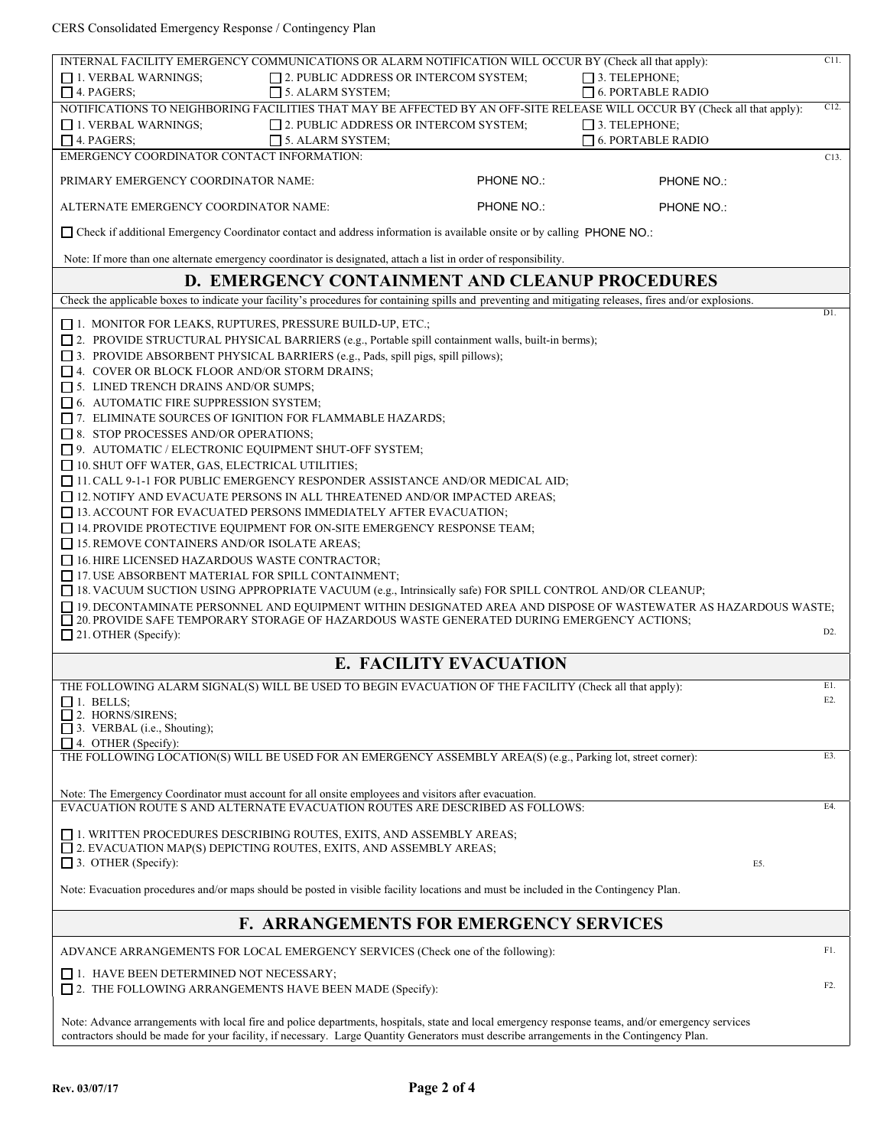CERS Consolidated Emergency Response / Contingency Plan

| INTERNAL FACILITY EMERGENCY COMMUNICATIONS OR ALARM NOTIFICATION WILL OCCUR BY (Check all that apply):                                                                                                                                                                                         |            |                          | C11.             |
|------------------------------------------------------------------------------------------------------------------------------------------------------------------------------------------------------------------------------------------------------------------------------------------------|------------|--------------------------|------------------|
| $\Box$ 1. VERBAL WARNINGS;<br>$\Box$ 2. PUBLIC ADDRESS OR INTERCOM SYSTEM;                                                                                                                                                                                                                     |            | $\Box$ 3. TELEPHONE;     |                  |
| $\Box$ 4. PAGERS:<br>$\Box$ 5. ALARM SYSTEM;                                                                                                                                                                                                                                                   |            | $\Box$ 6. PORTABLE RADIO | C12.             |
| NOTIFICATIONS TO NEIGHBORING FACILITIES THAT MAY BE AFFECTED BY AN OFF-SITE RELEASE WILL OCCUR BY (Check all that apply):                                                                                                                                                                      |            | $\Box$ 3. TELEPHONE;     |                  |
| $\Box$ 1. VERBAL WARNINGS;<br>$\Box$ 2. PUBLIC ADDRESS OR INTERCOM SYSTEM;<br>$\Box$ 4. PAGERS;<br>$\Box$ 5. ALARM SYSTEM:                                                                                                                                                                     |            | $\Box$ 6. PORTABLE RADIO |                  |
| EMERGENCY COORDINATOR CONTACT INFORMATION:                                                                                                                                                                                                                                                     |            |                          | C13.             |
|                                                                                                                                                                                                                                                                                                |            |                          |                  |
| PRIMARY EMERGENCY COORDINATOR NAME:                                                                                                                                                                                                                                                            | PHONE NO.: | <b>PHONE NO.:</b>        |                  |
| ALTERNATE EMERGENCY COORDINATOR NAME:                                                                                                                                                                                                                                                          | PHONE NO.: | PHONE NO.:               |                  |
| □ Check if additional Emergency Coordinator contact and address information is available onsite or by calling PHONE NO.:                                                                                                                                                                       |            |                          |                  |
| Note: If more than one alternate emergency coordinator is designated, attach a list in order of responsibility.                                                                                                                                                                                |            |                          |                  |
| D. EMERGENCY CONTAINMENT AND CLEANUP PROCEDURES                                                                                                                                                                                                                                                |            |                          |                  |
| Check the applicable boxes to indicate your facility's procedures for containing spills and preventing and mitigating releases, fires and/or explosions.                                                                                                                                       |            |                          |                  |
| $\Box$ 1. MONITOR FOR LEAKS, RUPTURES, PRESSURE BUILD-UP, ETC.;                                                                                                                                                                                                                                |            |                          | D1.              |
| [2. PROVIDE STRUCTURAL PHYSICAL BARRIERS (e.g., Portable spill containment walls, built-in berms);                                                                                                                                                                                             |            |                          |                  |
| □ 3. PROVIDE ABSORBENT PHYSICAL BARRIERS (e.g., Pads, spill pigs, spill pillows);                                                                                                                                                                                                              |            |                          |                  |
| $\Box$ 4. COVER OR BLOCK FLOOR AND/OR STORM DRAINS;                                                                                                                                                                                                                                            |            |                          |                  |
| $\Box$ 5. LINED TRENCH DRAINS AND/OR SUMPS;                                                                                                                                                                                                                                                    |            |                          |                  |
| $\Box$ 6. AUTOMATIC FIRE SUPPRESSION SYSTEM;                                                                                                                                                                                                                                                   |            |                          |                  |
| $\Box$ 7. ELIMINATE SOURCES OF IGNITION FOR FLAMMABLE HAZARDS;                                                                                                                                                                                                                                 |            |                          |                  |
| $\Box$ 8. STOP PROCESSES AND/OR OPERATIONS;                                                                                                                                                                                                                                                    |            |                          |                  |
| $\Box$ 9. AUTOMATIC / ELECTRONIC EQUIPMENT SHUT-OFF SYSTEM;                                                                                                                                                                                                                                    |            |                          |                  |
| 10. SHUT OFF WATER, GAS, ELECTRICAL UTILITIES;                                                                                                                                                                                                                                                 |            |                          |                  |
| $\Box$ 11. CALL 9-1-1 FOR PUBLIC EMERGENCY RESPONDER ASSISTANCE AND/OR MEDICAL AID;                                                                                                                                                                                                            |            |                          |                  |
| $\Box$ 12. NOTIFY AND EVACUATE PERSONS IN ALL THREATENED AND/OR IMPACTED AREAS;                                                                                                                                                                                                                |            |                          |                  |
| $\Box$ 13. ACCOUNT FOR EVACUATED PERSONS IMMEDIATELY AFTER EVACUATION;                                                                                                                                                                                                                         |            |                          |                  |
| $\Box$ 14. PROVIDE PROTECTIVE EQUIPMENT FOR ON-SITE EMERGENCY RESPONSE TEAM;                                                                                                                                                                                                                   |            |                          |                  |
| $\Box$ 15. REMOVE CONTAINERS AND/OR ISOLATE AREAS;                                                                                                                                                                                                                                             |            |                          |                  |
| $\Box$ 16. HIRE LICENSED HAZARDOUS WASTE CONTRACTOR;                                                                                                                                                                                                                                           |            |                          |                  |
| $\Box$ 17. USE ABSORBENT MATERIAL FOR SPILL CONTAINMENT;                                                                                                                                                                                                                                       |            |                          |                  |
| $\Box$ 18. VACUUM SUCTION USING APPROPRIATE VACUUM (e.g., Intrinsically safe) FOR SPILL CONTROL AND/OR CLEANUP;                                                                                                                                                                                |            |                          |                  |
| □ 19. DECONTAMINATE PERSONNEL AND EQUIPMENT WITHIN DESIGNATED AREA AND DISPOSE OF WASTEWATER AS HAZARDOUS WASTE;                                                                                                                                                                               |            |                          |                  |
| $\Box$ 20. PROVIDE SAFE TEMPORARY STORAGE OF HAZARDOUS WASTE GENERATED DURING EMERGENCY ACTIONS;<br>$\Box$ 21. OTHER (Specify):                                                                                                                                                                |            |                          | D <sub>2</sub> . |
|                                                                                                                                                                                                                                                                                                |            |                          |                  |
| <b>E. FACILITY EVACUATION</b>                                                                                                                                                                                                                                                                  |            |                          |                  |
| THE FOLLOWING ALARM SIGNAL(S) WILL BE USED TO BEGIN EVACUATION OF THE FACILITY (Check all that apply):                                                                                                                                                                                         |            |                          | E1.              |
| $\Box$ 1. BELLS;                                                                                                                                                                                                                                                                               |            |                          | E2.              |
| $\Box$ 2. HORNS/SIRENS;                                                                                                                                                                                                                                                                        |            |                          |                  |
| $\Box$ 3. VERBAL (i.e., Shouting);<br>$\Box$ 4. OTHER (Specify):                                                                                                                                                                                                                               |            |                          |                  |
| THE FOLLOWING LOCATION(S) WILL BE USED FOR AN EMERGENCY ASSEMBLY AREA(S) (e.g., Parking lot, street corner):                                                                                                                                                                                   |            |                          | E3.              |
|                                                                                                                                                                                                                                                                                                |            |                          |                  |
| Note: The Emergency Coordinator must account for all onsite employees and visitors after evacuation.                                                                                                                                                                                           |            |                          |                  |
| EVACUATION ROUTE S AND ALTERNATE EVACUATION ROUTES ARE DESCRIBED AS FOLLOWS:                                                                                                                                                                                                                   |            |                          | E4.              |
|                                                                                                                                                                                                                                                                                                |            |                          |                  |
| $\Box$ 1. WRITTEN PROCEDURES DESCRIBING ROUTES, EXITS, AND ASSEMBLY AREAS;                                                                                                                                                                                                                     |            |                          |                  |
| $\Box$ 2. EVACUATION MAP(S) DEPICTING ROUTES, EXITS, AND ASSEMBLY AREAS;                                                                                                                                                                                                                       |            |                          |                  |
| $\Box$ 3. OTHER (Specify):                                                                                                                                                                                                                                                                     |            | E5.                      |                  |
| Note: Evacuation procedures and/or maps should be posted in visible facility locations and must be included in the Contingency Plan.                                                                                                                                                           |            |                          |                  |
| <b>F. ARRANGEMENTS FOR EMERGENCY SERVICES</b>                                                                                                                                                                                                                                                  |            |                          |                  |
|                                                                                                                                                                                                                                                                                                |            |                          | F1.              |
| ADVANCE ARRANGEMENTS FOR LOCAL EMERGENCY SERVICES (Check one of the following):                                                                                                                                                                                                                |            |                          |                  |
| $\Box$ 1. HAVE BEEN DETERMINED NOT NECESSARY;                                                                                                                                                                                                                                                  |            |                          |                  |
| $\Box$ 2. THE FOLLOWING ARRANGEMENTS HAVE BEEN MADE (Specify):                                                                                                                                                                                                                                 |            |                          | F2.              |
|                                                                                                                                                                                                                                                                                                |            |                          |                  |
| Note: Advance arrangements with local fire and police departments, hospitals, state and local emergency response teams, and/or emergency services<br>contractors should be made for your facility, if necessary. Large Quantity Generators must describe arrangements in the Contingency Plan. |            |                          |                  |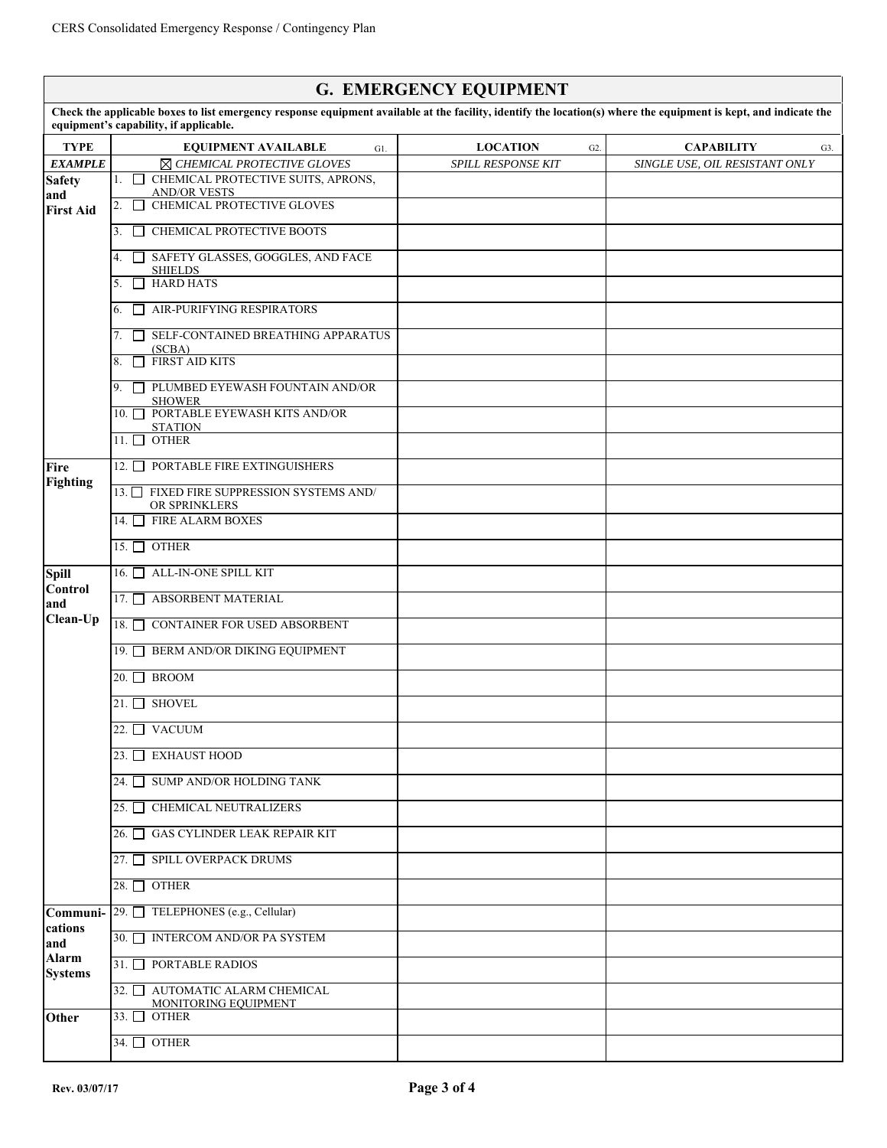|                                |                                                                                                                                                                                                             | <b>G. EMERGENCY EQUIPMENT</b>       |                                |
|--------------------------------|-------------------------------------------------------------------------------------------------------------------------------------------------------------------------------------------------------------|-------------------------------------|--------------------------------|
|                                | Check the applicable boxes to list emergency response equipment available at the facility, identify the location(s) where the equipment is kept, and indicate the<br>equipment's capability, if applicable. |                                     |                                |
| <b>TYPE</b>                    | <b>EQUIPMENT AVAILABLE</b><br>$G1$ .                                                                                                                                                                        | <b>LOCATION</b><br>G <sub>2</sub> . | <b>CAPABILITY</b><br>G3.       |
| <b>EXAMPLE</b>                 | ⊠ CHEMICAL PROTECTIVE GLOVES                                                                                                                                                                                | <b>SPILL RESPONSE KIT</b>           | SINGLE USE, OIL RESISTANT ONLY |
| <b>Safety</b>                  | 1. <b>O CHEMICAL PROTECTIVE SUITS, APRONS,</b><br><b>AND/OR VESTS</b>                                                                                                                                       |                                     |                                |
| and<br><b>First Aid</b>        | CHEMICAL PROTECTIVE GLOVES<br>2.<br>$\Box$                                                                                                                                                                  |                                     |                                |
|                                | $\Box$ CHEMICAL PROTECTIVE BOOTS<br>3.                                                                                                                                                                      |                                     |                                |
|                                | 4. SAFETY GLASSES, GOGGLES, AND FACE<br><b>SHIELDS</b>                                                                                                                                                      |                                     |                                |
|                                | <b>HARD HATS</b><br>5.<br>$\Box$                                                                                                                                                                            |                                     |                                |
|                                | $\Box$ AIR-PURIFYING RESPIRATORS<br>6.                                                                                                                                                                      |                                     |                                |
|                                | $\Box$ SELF-CONTAINED BREATHING APPARATUS<br>7.<br>(SCBA)                                                                                                                                                   |                                     |                                |
|                                | $\Box$ FIRST AID KITS<br>8.                                                                                                                                                                                 |                                     |                                |
|                                | PLUMBED EYEWASH FOUNTAIN AND/OR<br>9.<br><b>SHOWER</b>                                                                                                                                                      |                                     |                                |
|                                | 10. PORTABLE EYEWASH KITS AND/OR<br><b>STATION</b>                                                                                                                                                          |                                     |                                |
|                                | 11. $\Box$ OTHER                                                                                                                                                                                            |                                     |                                |
| Fire                           | 12. PORTABLE FIRE EXTINGUISHERS                                                                                                                                                                             |                                     |                                |
| <b>Fighting</b>                | 13. FIXED FIRE SUPPRESSION SYSTEMS AND/<br>OR SPRINKLERS                                                                                                                                                    |                                     |                                |
|                                | 14. FIRE ALARM BOXES                                                                                                                                                                                        |                                     |                                |
|                                | 15. $\Box$ OTHER                                                                                                                                                                                            |                                     |                                |
| <b>Spill</b><br><b>Control</b> | 16. ALL-IN-ONE SPILL KIT                                                                                                                                                                                    |                                     |                                |
| and                            | 17. ABSORBENT MATERIAL                                                                                                                                                                                      |                                     |                                |
| Clean-Up                       | 18. ONTAINER FOR USED ABSORBENT                                                                                                                                                                             |                                     |                                |
|                                | 19. BERM AND/OR DIKING EQUIPMENT                                                                                                                                                                            |                                     |                                |
|                                | $20.$ BROOM                                                                                                                                                                                                 |                                     |                                |
|                                | $21.$ SHOVEL                                                                                                                                                                                                |                                     |                                |
|                                | 22. □ VACUUM                                                                                                                                                                                                |                                     |                                |
|                                | 23. □ EXHAUST HOOD                                                                                                                                                                                          |                                     |                                |
|                                | 24. SUMP AND/OR HOLDING TANK                                                                                                                                                                                |                                     |                                |
|                                | 25. CHEMICAL NEUTRALIZERS                                                                                                                                                                                   |                                     |                                |
|                                | 26. □ GAS CYLINDER LEAK REPAIR KIT                                                                                                                                                                          |                                     |                                |
|                                | 27. SPILL OVERPACK DRUMS                                                                                                                                                                                    |                                     |                                |
|                                | 28. $\Box$ OTHER                                                                                                                                                                                            |                                     |                                |
| Communi-<br>cations            | 29. □ TELEPHONES (e.g., Cellular)                                                                                                                                                                           |                                     |                                |
| and                            | 30. ■ INTERCOM AND/OR PA SYSTEM                                                                                                                                                                             |                                     |                                |
| <b>Alarm</b><br><b>Systems</b> | 31. PORTABLE RADIOS                                                                                                                                                                                         |                                     |                                |
|                                | 32. AUTOMATIC ALARM CHEMICAL<br>MONITORING EQUIPMENT                                                                                                                                                        |                                     |                                |
| Other                          | 33. $\Box$ OTHER                                                                                                                                                                                            |                                     |                                |
|                                | 34. $\Box$ OTHER                                                                                                                                                                                            |                                     |                                |